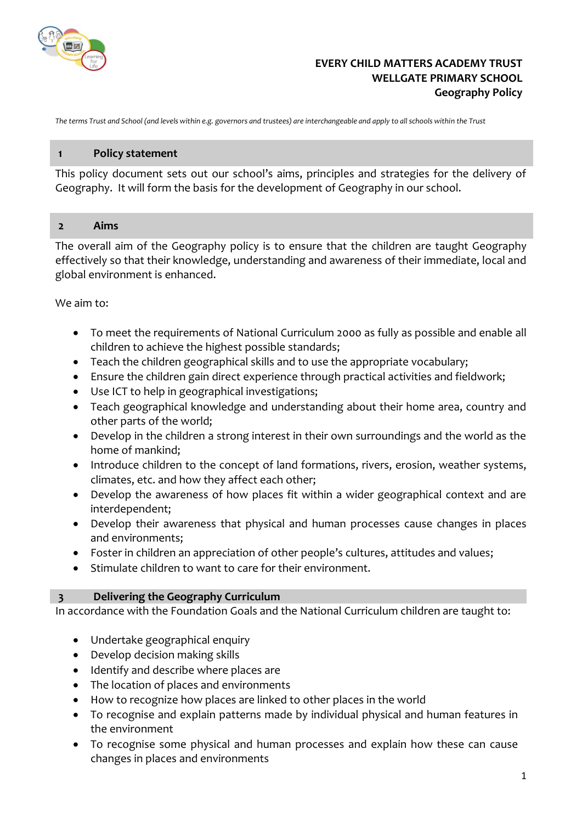

## **EVERY CHILD MATTERS ACADEMY TRUST WELLGATE PRIMARY SCHOOL Geography Policy**

*The terms Trust and School (and levels within e.g. governors and trustees) are interchangeable and apply to all schools within the Trust*

#### **1 Policy statement**

This policy document sets out our school's aims, principles and strategies for the delivery of Geography. It will form the basis for the development of Geography in our school.

#### **2 Aims**

The overall aim of the Geography policy is to ensure that the children are taught Geography effectively so that their knowledge, understanding and awareness of their immediate, local and global environment is enhanced.

We aim to:

- To meet the requirements of National Curriculum 2000 as fully as possible and enable all children to achieve the highest possible standards;
- Teach the children geographical skills and to use the appropriate vocabulary;
- Ensure the children gain direct experience through practical activities and fieldwork;
- Use ICT to help in geographical investigations;
- Teach geographical knowledge and understanding about their home area, country and other parts of the world;
- Develop in the children a strong interest in their own surroundings and the world as the home of mankind;
- Introduce children to the concept of land formations, rivers, erosion, weather systems, climates, etc. and how they affect each other;
- Develop the awareness of how places fit within a wider geographical context and are interdependent;
- Develop their awareness that physical and human processes cause changes in places and environments;
- Foster in children an appreciation of other people's cultures, attitudes and values;
- Stimulate children to want to care for their environment.

#### **3 Delivering the Geography Curriculum**

In accordance with the Foundation Goals and the National Curriculum children are taught to:

- Undertake geographical enquiry
- Develop decision making skills
- Identify and describe where places are
- The location of places and environments
- How to recognize how places are linked to other places in the world
- To recognise and explain patterns made by individual physical and human features in the environment
- To recognise some physical and human processes and explain how these can cause changes in places and environments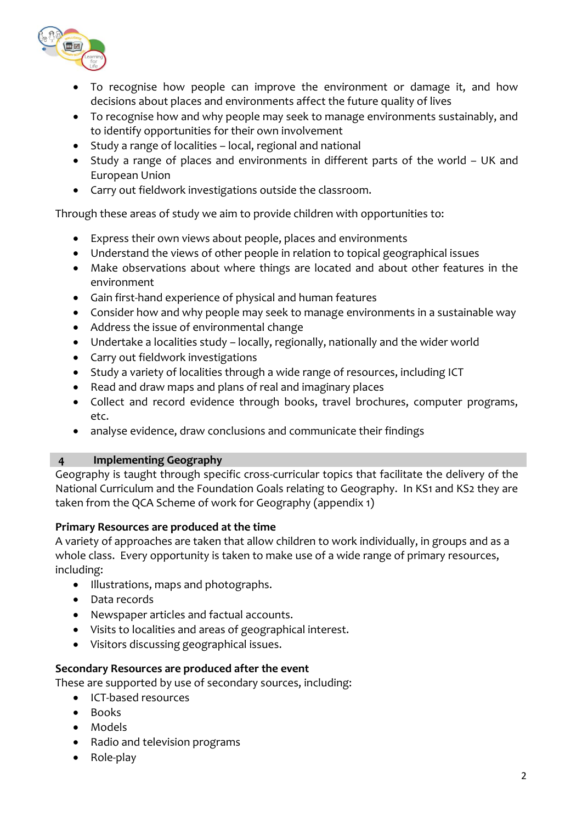

- To recognise how people can improve the environment or damage it, and how decisions about places and environments affect the future quality of lives
- To recognise how and why people may seek to manage environments sustainably, and to identify opportunities for their own involvement
- Study a range of localities local, regional and national
- Study a range of places and environments in different parts of the world UK and European Union
- Carry out fieldwork investigations outside the classroom.

Through these areas of study we aim to provide children with opportunities to:

- Express their own views about people, places and environments
- Understand the views of other people in relation to topical geographical issues
- Make observations about where things are located and about other features in the environment
- Gain first-hand experience of physical and human features
- Consider how and why people may seek to manage environments in a sustainable way
- Address the issue of environmental change
- Undertake a localities study locally, regionally, nationally and the wider world
- Carry out fieldwork investigations
- Study a variety of localities through a wide range of resources, including ICT
- Read and draw maps and plans of real and imaginary places
- Collect and record evidence through books, travel brochures, computer programs, etc.
- analyse evidence, draw conclusions and communicate their findings

# **4 Implementing Geography**

Geography is taught through specific cross-curricular topics that facilitate the delivery of the National Curriculum and the Foundation Goals relating to Geography. In KS1 and KS2 they are taken from the QCA Scheme of work for Geography (appendix 1)

# **Primary Resources are produced at the time**

A variety of approaches are taken that allow children to work individually, in groups and as a whole class. Every opportunity is taken to make use of a wide range of primary resources, including:

- Illustrations, maps and photographs.
- Data records
- Newspaper articles and factual accounts.
- Visits to localities and areas of geographical interest.
- Visitors discussing geographical issues.

# **Secondary Resources are produced after the event**

These are supported by use of secondary sources, including:

- ICT-based resources
- Books
- Models
- Radio and television programs
- Role-play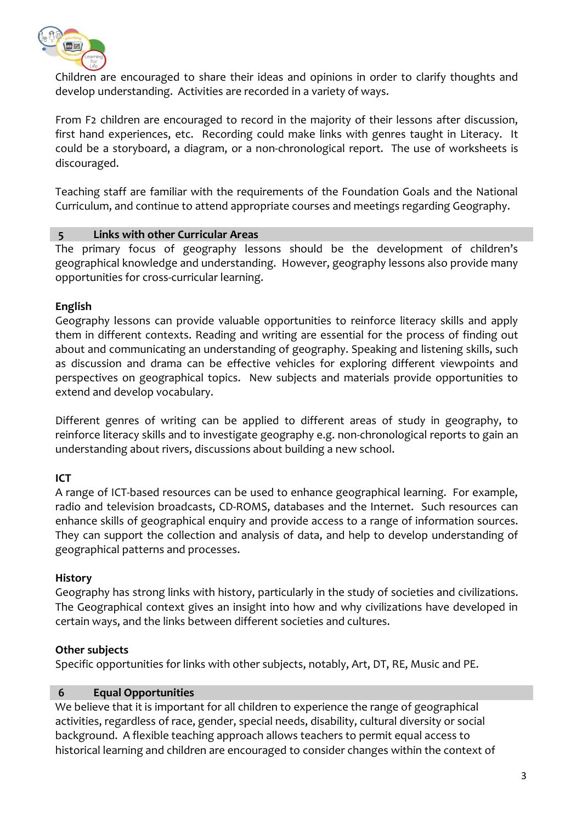

Children are encouraged to share their ideas and opinions in order to clarify thoughts and develop understanding. Activities are recorded in a variety of ways.

From F2 children are encouraged to record in the majority of their lessons after discussion, first hand experiences, etc. Recording could make links with genres taught in Literacy. It could be a storyboard, a diagram, or a non-chronological report. The use of worksheets is discouraged.

Teaching staff are familiar with the requirements of the Foundation Goals and the National Curriculum, and continue to attend appropriate courses and meetings regarding Geography.

## **5 Links with other Curricular Areas**

The primary focus of geography lessons should be the development of children's geographical knowledge and understanding. However, geography lessons also provide many opportunities for cross-curricular learning.

# **English**

Geography lessons can provide valuable opportunities to reinforce literacy skills and apply them in different contexts. Reading and writing are essential for the process of finding out about and communicating an understanding of geography. Speaking and listening skills, such as discussion and drama can be effective vehicles for exploring different viewpoints and perspectives on geographical topics. New subjects and materials provide opportunities to extend and develop vocabulary.

Different genres of writing can be applied to different areas of study in geography, to reinforce literacy skills and to investigate geography e.g. non-chronological reports to gain an understanding about rivers, discussions about building a new school.

# **ICT**

A range of ICT-based resources can be used to enhance geographical learning. For example, radio and television broadcasts, CD-ROMS, databases and the Internet. Such resources can enhance skills of geographical enquiry and provide access to a range of information sources. They can support the collection and analysis of data, and help to develop understanding of geographical patterns and processes.

## **History**

Geography has strong links with history, particularly in the study of societies and civilizations. The Geographical context gives an insight into how and why civilizations have developed in certain ways, and the links between different societies and cultures.

## **Other subjects**

Specific opportunities for links with other subjects, notably, Art, DT, RE, Music and PE.

# **6 Equal Opportunities**

We believe that it is important for all children to experience the range of geographical activities, regardless of race, gender, special needs, disability, cultural diversity or social background. A flexible teaching approach allows teachers to permit equal access to historical learning and children are encouraged to consider changes within the context of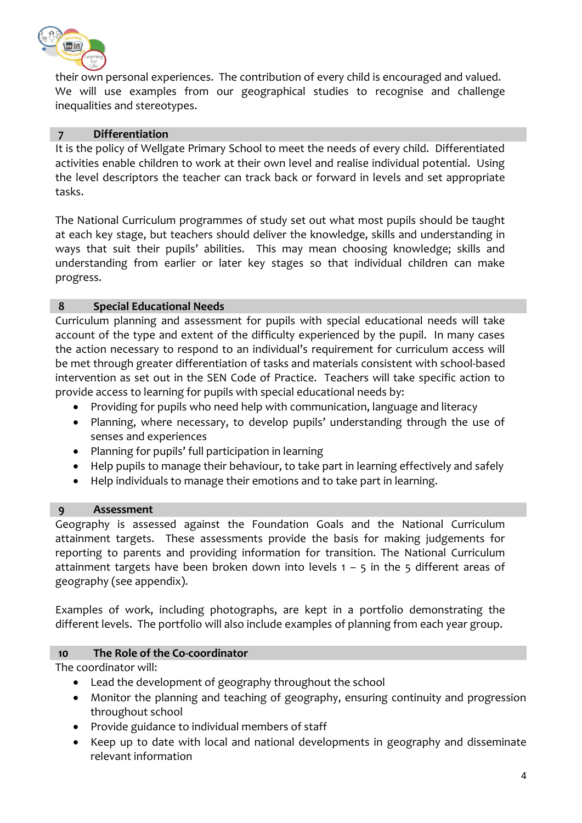

their own personal experiences. The contribution of every child is encouraged and valued. We will use examples from our geographical studies to recognise and challenge inequalities and stereotypes.

## **7 Differentiation**

It is the policy of Wellgate Primary School to meet the needs of every child. Differentiated activities enable children to work at their own level and realise individual potential. Using the level descriptors the teacher can track back or forward in levels and set appropriate tasks.

The National Curriculum programmes of study set out what most pupils should be taught at each key stage, but teachers should deliver the knowledge, skills and understanding in ways that suit their pupils' abilities. This may mean choosing knowledge; skills and understanding from earlier or later key stages so that individual children can make progress.

## **8 Special Educational Needs**

Curriculum planning and assessment for pupils with special educational needs will take account of the type and extent of the difficulty experienced by the pupil. In many cases the action necessary to respond to an individual's requirement for curriculum access will be met through greater differentiation of tasks and materials consistent with school-based intervention as set out in the SEN Code of Practice. Teachers will take specific action to provide access to learning for pupils with special educational needs by:

- Providing for pupils who need help with communication, language and literacy
- Planning, where necessary, to develop pupils' understanding through the use of senses and experiences
- Planning for pupils' full participation in learning
- Help pupils to manage their behaviour, to take part in learning effectively and safely
- Help individuals to manage their emotions and to take part in learning.

## **9 Assessment**

Geography is assessed against the Foundation Goals and the National Curriculum attainment targets. These assessments provide the basis for making judgements for reporting to parents and providing information for transition. The National Curriculum attainment targets have been broken down into levels  $1 - 5$  in the 5 different areas of geography (see appendix).

Examples of work, including photographs, are kept in a portfolio demonstrating the different levels. The portfolio will also include examples of planning from each year group.

## **10 The Role of the Co-coordinator**

The coordinator will:

- Lead the development of geography throughout the school
- Monitor the planning and teaching of geography, ensuring continuity and progression throughout school
- Provide guidance to individual members of staff
- Keep up to date with local and national developments in geography and disseminate relevant information